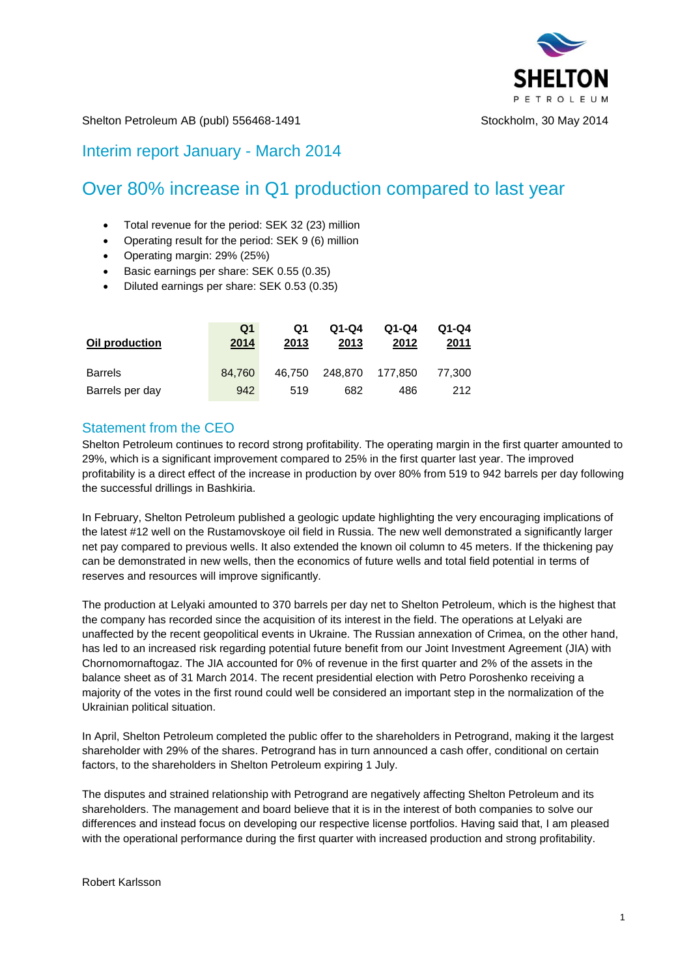

Shelton Petroleum AB (publ) 556468-1491 Stockholm, 30 May 2014

# Interim report January - March 2014

# Over 80% increase in Q1 production compared to last year

- Total revenue for the period: SEK 32 (23) million
- Operating result for the period: SEK 9 (6) million
- Operating margin: 29% (25%)
- Basic earnings per share: SEK 0.55 (0.35)
- Diluted earnings per share: SEK 0.53 (0.35)

| Oil production  | Q <sub>1</sub><br>2014 | Q1<br>2013 | $Q1-Q4$<br>2013 | $Q1-Q4$<br>2012 | $Q1-Q4$<br>2011 |
|-----------------|------------------------|------------|-----------------|-----------------|-----------------|
| <b>Barrels</b>  | 84.760                 | 46.750     | 248.870         | 177.850         | 77.300          |
| Barrels per day | 942                    | 519        | 682             | 486             | 212             |

## Statement from the CEO

Shelton Petroleum continues to record strong profitability. The operating margin in the first quarter amounted to 29%, which is a significant improvement compared to 25% in the first quarter last year. The improved profitability is a direct effect of the increase in production by over 80% from 519 to 942 barrels per day following the successful drillings in Bashkiria.

In February, Shelton Petroleum published a geologic update highlighting the very encouraging implications of the latest #12 well on the Rustamovskoye oil field in Russia. The new well demonstrated a significantly larger net pay compared to previous wells. It also extended the known oil column to 45 meters. If the thickening pay can be demonstrated in new wells, then the economics of future wells and total field potential in terms of reserves and resources will improve significantly.

The production at Lelyaki amounted to 370 barrels per day net to Shelton Petroleum, which is the highest that the company has recorded since the acquisition of its interest in the field. The operations at Lelyaki are unaffected by the recent geopolitical events in Ukraine. The Russian annexation of Crimea, on the other hand, has led to an increased risk regarding potential future benefit from our Joint Investment Agreement (JIA) with Chornomornaftogaz. The JIA accounted for 0% of revenue in the first quarter and 2% of the assets in the balance sheet as of 31 March 2014. The recent presidential election with Petro Poroshenko receiving a majority of the votes in the first round could well be considered an important step in the normalization of the Ukrainian political situation.

In April, Shelton Petroleum completed the public offer to the shareholders in Petrogrand, making it the largest shareholder with 29% of the shares. Petrogrand has in turn announced a cash offer, conditional on certain factors, to the shareholders in Shelton Petroleum expiring 1 July.

The disputes and strained relationship with Petrogrand are negatively affecting Shelton Petroleum and its shareholders. The management and board believe that it is in the interest of both companies to solve our differences and instead focus on developing our respective license portfolios. Having said that, I am pleased with the operational performance during the first quarter with increased production and strong profitability.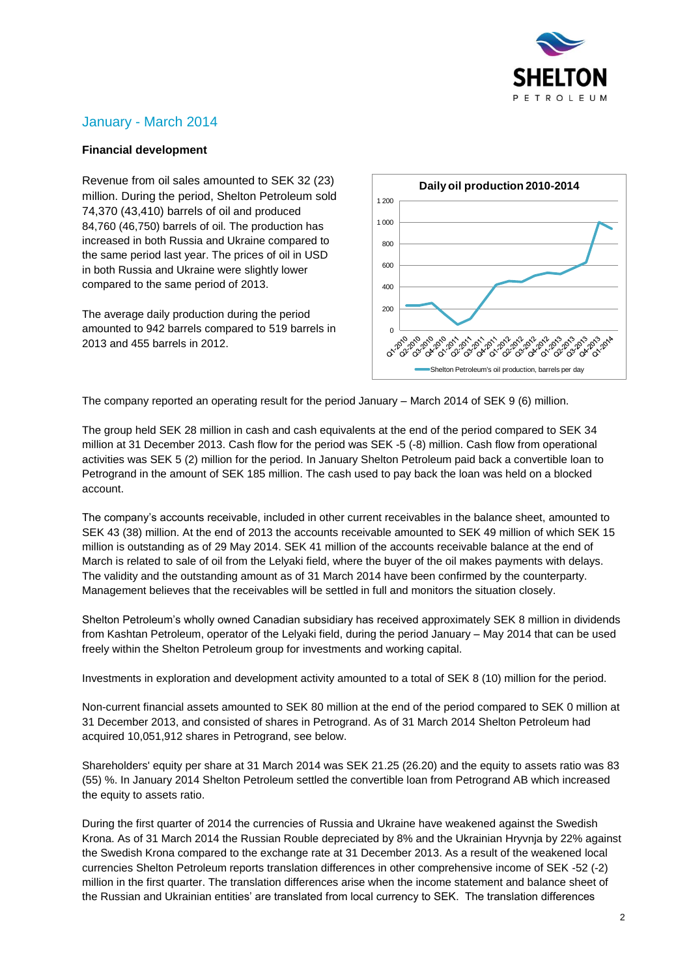

# January - March 2014

### **Financial development**

Revenue from oil sales amounted to SEK 32 (23) million. During the period, Shelton Petroleum sold 74,370 (43,410) barrels of oil and produced 84,760 (46,750) barrels of oil. The production has increased in both Russia and Ukraine compared to the same period last year. The prices of oil in USD in both Russia and Ukraine were slightly lower compared to the same period of 2013.

The average daily production during the period amounted to 942 barrels compared to 519 barrels in 2013 and 455 barrels in 2012.



The company reported an operating result for the period January – March 2014 of SEK 9 (6) million.

The group held SEK 28 million in cash and cash equivalents at the end of the period compared to SEK 34 million at 31 December 2013. Cash flow for the period was SEK -5 (-8) million. Cash flow from operational activities was SEK 5 (2) million for the period. In January Shelton Petroleum paid back a convertible loan to Petrogrand in the amount of SEK 185 million. The cash used to pay back the loan was held on a blocked account.

The company's accounts receivable, included in other current receivables in the balance sheet, amounted to SEK 43 (38) million. At the end of 2013 the accounts receivable amounted to SEK 49 million of which SEK 15 million is outstanding as of 29 May 2014. SEK 41 million of the accounts receivable balance at the end of March is related to sale of oil from the Lelyaki field, where the buyer of the oil makes payments with delays. The validity and the outstanding amount as of 31 March 2014 have been confirmed by the counterparty. Management believes that the receivables will be settled in full and monitors the situation closely.

Shelton Petroleum's wholly owned Canadian subsidiary has received approximately SEK 8 million in dividends from Kashtan Petroleum, operator of the Lelyaki field, during the period January – May 2014 that can be used freely within the Shelton Petroleum group for investments and working capital.

Investments in exploration and development activity amounted to a total of SEK 8 (10) million for the period.

Non-current financial assets amounted to SEK 80 million at the end of the period compared to SEK 0 million at 31 December 2013, and consisted of shares in Petrogrand. As of 31 March 2014 Shelton Petroleum had acquired 10,051,912 shares in Petrogrand, see below.

Shareholders' equity per share at 31 March 2014 was SEK 21.25 (26.20) and the equity to assets ratio was 83 (55) %. In January 2014 Shelton Petroleum settled the convertible loan from Petrogrand AB which increased the equity to assets ratio.

During the first quarter of 2014 the currencies of Russia and Ukraine have weakened against the Swedish Krona. As of 31 March 2014 the Russian Rouble depreciated by 8% and the Ukrainian Hryvnja by 22% against the Swedish Krona compared to the exchange rate at 31 December 2013. As a result of the weakened local currencies Shelton Petroleum reports translation differences in other comprehensive income of SEK -52 (-2) million in the first quarter. The translation differences arise when the income statement and balance sheet of the Russian and Ukrainian entities' are translated from local currency to SEK. The translation differences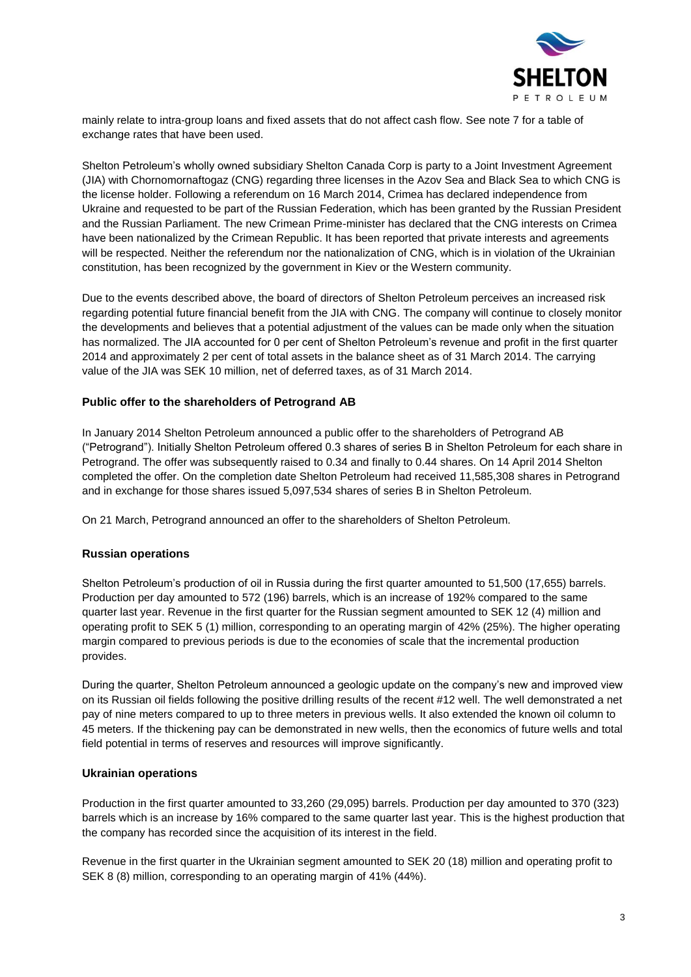

mainly relate to intra-group loans and fixed assets that do not affect cash flow. See note 7 for a table of exchange rates that have been used.

Shelton Petroleum's wholly owned subsidiary Shelton Canada Corp is party to a Joint Investment Agreement (JIA) with Chornomornaftogaz (CNG) regarding three licenses in the Azov Sea and Black Sea to which CNG is the license holder. Following a referendum on 16 March 2014, Crimea has declared independence from Ukraine and requested to be part of the Russian Federation, which has been granted by the Russian President and the Russian Parliament. The new Crimean Prime-minister has declared that the CNG interests on Crimea have been nationalized by the Crimean Republic. It has been reported that private interests and agreements will be respected. Neither the referendum nor the nationalization of CNG, which is in violation of the Ukrainian constitution, has been recognized by the government in Kiev or the Western community.

Due to the events described above, the board of directors of Shelton Petroleum perceives an increased risk regarding potential future financial benefit from the JIA with CNG. The company will continue to closely monitor the developments and believes that a potential adjustment of the values can be made only when the situation has normalized. The JIA accounted for 0 per cent of Shelton Petroleum's revenue and profit in the first quarter 2014 and approximately 2 per cent of total assets in the balance sheet as of 31 March 2014. The carrying value of the JIA was SEK 10 million, net of deferred taxes, as of 31 March 2014.

### **Public offer to the shareholders of Petrogrand AB**

In January 2014 Shelton Petroleum announced a public offer to the shareholders of Petrogrand AB ("Petrogrand"). Initially Shelton Petroleum offered 0.3 shares of series B in Shelton Petroleum for each share in Petrogrand. The offer was subsequently raised to 0.34 and finally to 0.44 shares. On 14 April 2014 Shelton completed the offer. On the completion date Shelton Petroleum had received 11,585,308 shares in Petrogrand and in exchange for those shares issued 5,097,534 shares of series B in Shelton Petroleum.

On 21 March, Petrogrand announced an offer to the shareholders of Shelton Petroleum.

#### **Russian operations**

Shelton Petroleum's production of oil in Russia during the first quarter amounted to 51,500 (17,655) barrels. Production per day amounted to 572 (196) barrels, which is an increase of 192% compared to the same quarter last year. Revenue in the first quarter for the Russian segment amounted to SEK 12 (4) million and operating profit to SEK 5 (1) million, corresponding to an operating margin of 42% (25%). The higher operating margin compared to previous periods is due to the economies of scale that the incremental production provides.

During the quarter, Shelton Petroleum announced a geologic update on the company's new and improved view on its Russian oil fields following the positive drilling results of the recent #12 well. The well demonstrated a net pay of nine meters compared to up to three meters in previous wells. It also extended the known oil column to 45 meters. If the thickening pay can be demonstrated in new wells, then the economics of future wells and total field potential in terms of reserves and resources will improve significantly.

#### **Ukrainian operations**

Production in the first quarter amounted to 33,260 (29,095) barrels. Production per day amounted to 370 (323) barrels which is an increase by 16% compared to the same quarter last year. This is the highest production that the company has recorded since the acquisition of its interest in the field.

Revenue in the first quarter in the Ukrainian segment amounted to SEK 20 (18) million and operating profit to SEK 8 (8) million, corresponding to an operating margin of 41% (44%).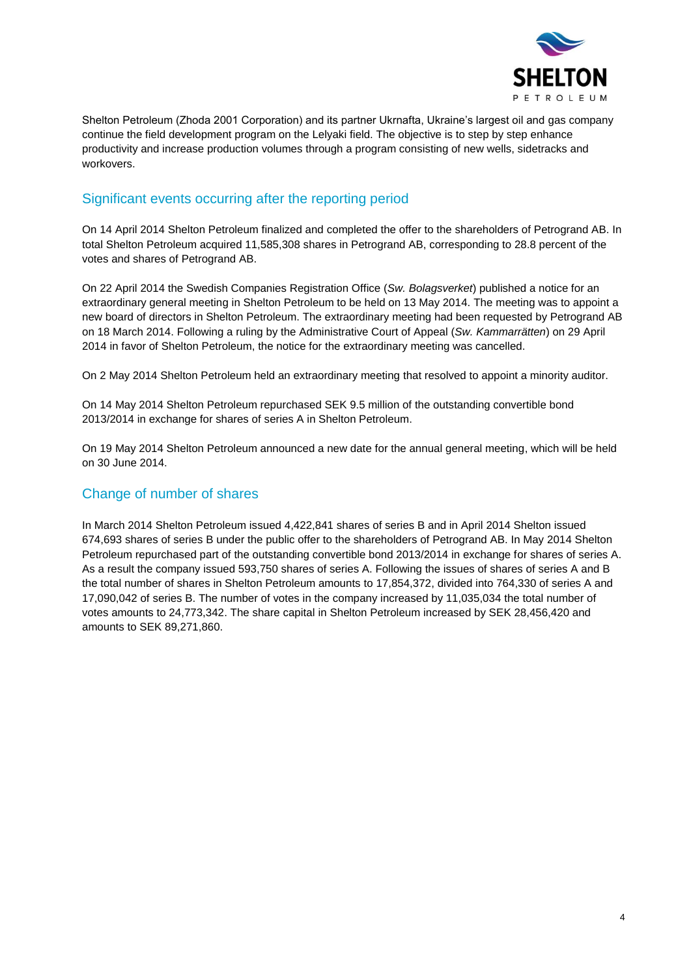

Shelton Petroleum (Zhoda 2001 Corporation) and its partner Ukrnafta, Ukraine's largest oil and gas company continue the field development program on the Lelyaki field. The objective is to step by step enhance productivity and increase production volumes through a program consisting of new wells, sidetracks and workovers.

# Significant events occurring after the reporting period

On 14 April 2014 Shelton Petroleum finalized and completed the offer to the shareholders of Petrogrand AB. In total Shelton Petroleum acquired 11,585,308 shares in Petrogrand AB, corresponding to 28.8 percent of the votes and shares of Petrogrand AB.

On 22 April 2014 the Swedish Companies Registration Office (*Sw. Bolagsverket*) published a notice for an extraordinary general meeting in Shelton Petroleum to be held on 13 May 2014. The meeting was to appoint a new board of directors in Shelton Petroleum. The extraordinary meeting had been requested by Petrogrand AB on 18 March 2014. Following a ruling by the Administrative Court of Appeal (*Sw. Kammarrätten*) on 29 April 2014 in favor of Shelton Petroleum, the notice for the extraordinary meeting was cancelled.

On 2 May 2014 Shelton Petroleum held an extraordinary meeting that resolved to appoint a minority auditor.

On 14 May 2014 Shelton Petroleum repurchased SEK 9.5 million of the outstanding convertible bond 2013/2014 in exchange for shares of series A in Shelton Petroleum.

On 19 May 2014 Shelton Petroleum announced a new date for the annual general meeting, which will be held on 30 June 2014.

# Change of number of shares

In March 2014 Shelton Petroleum issued 4,422,841 shares of series B and in April 2014 Shelton issued 674,693 shares of series B under the public offer to the shareholders of Petrogrand AB. In May 2014 Shelton Petroleum repurchased part of the outstanding convertible bond 2013/2014 in exchange for shares of series A. As a result the company issued 593,750 shares of series A. Following the issues of shares of series A and B the total number of shares in Shelton Petroleum amounts to 17,854,372, divided into 764,330 of series A and 17,090,042 of series B. The number of votes in the company increased by 11,035,034 the total number of votes amounts to 24,773,342. The share capital in Shelton Petroleum increased by SEK 28,456,420 and amounts to SEK 89,271,860.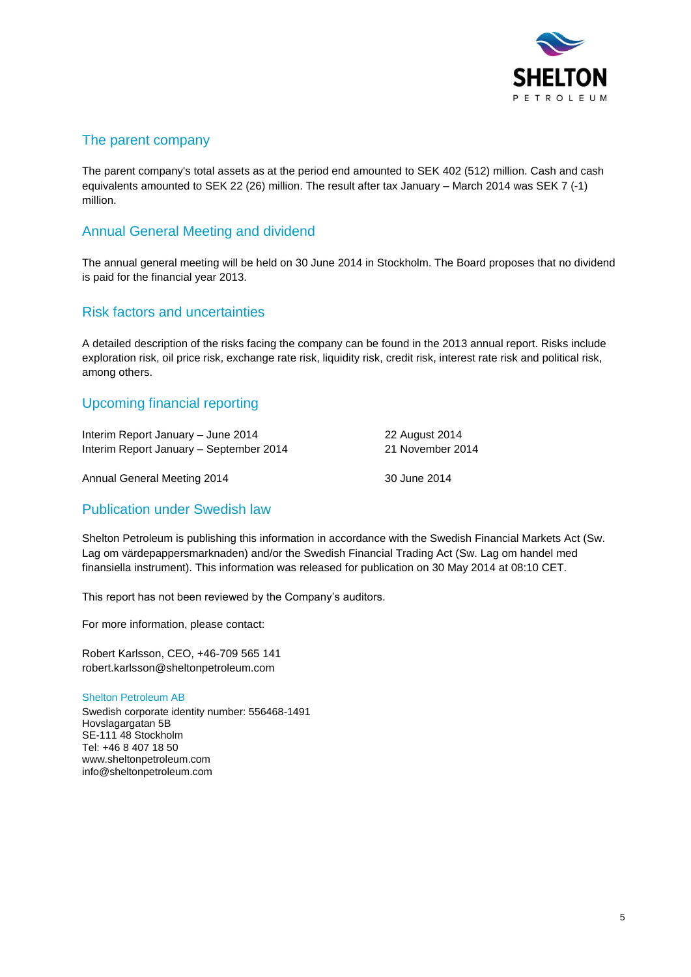

# The parent company

The parent company's total assets as at the period end amounted to SEK 402 (512) million. Cash and cash equivalents amounted to SEK 22 (26) million. The result after tax January – March 2014 was SEK 7 (-1) million.

# Annual General Meeting and dividend

The annual general meeting will be held on 30 June 2014 in Stockholm. The Board proposes that no dividend is paid for the financial year 2013.

## Risk factors and uncertainties

A detailed description of the risks facing the company can be found in the 2013 annual report. Risks include exploration risk, oil price risk, exchange rate risk, liquidity risk, credit risk, interest rate risk and political risk, among others.

# Upcoming financial reporting

| Interim Report January - June 2014      | 22 August 2014   |
|-----------------------------------------|------------------|
| Interim Report January – September 2014 | 21 November 2014 |
| Annual General Meeting 2014             | 30 June 2014     |

## Publication under Swedish law

Shelton Petroleum is publishing this information in accordance with the Swedish Financial Markets Act (Sw. Lag om värdepappersmarknaden) and/or the Swedish Financial Trading Act (Sw. Lag om handel med finansiella instrument). This information was released for publication on 30 May 2014 at 08:10 CET.

This report has not been reviewed by the Company's auditors.

For more information, please contact:

Robert Karlsson, CEO, +46-709 565 141 robert.karlsson@sheltonpetroleum.com

Shelton Petroleum AB Swedish corporate identity number: 556468-1491 Hovslagargatan 5B SE-111 48 Stockholm Tel: +46 8 407 18 50 [www.sheltonpetroleum.com](http://www.sheltonpetroleum.com/) info@sheltonpetroleum.com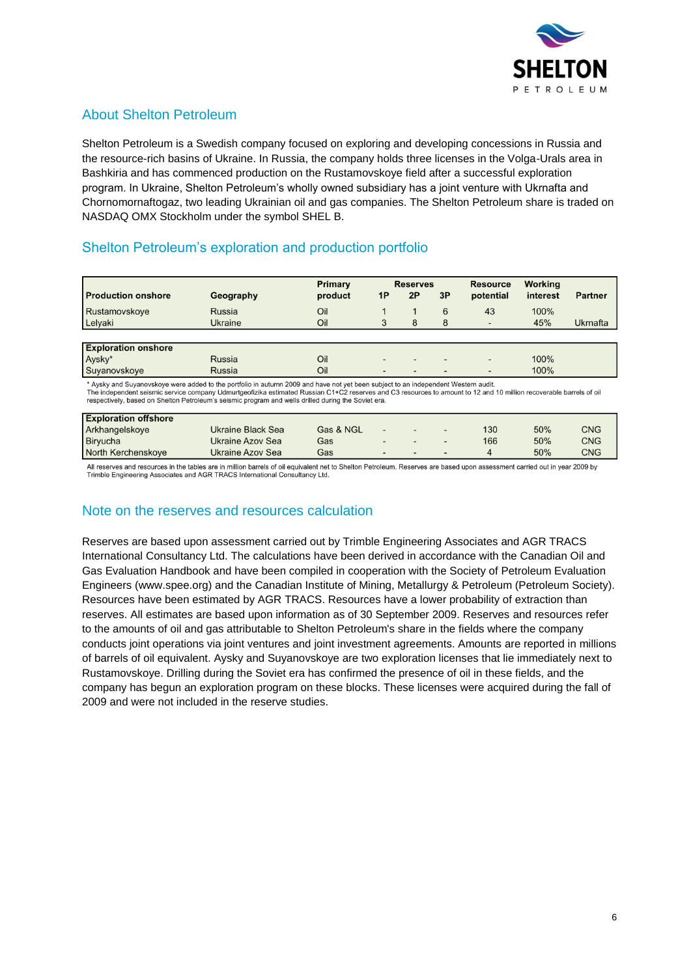

# About Shelton Petroleum

Shelton Petroleum is a Swedish company focused on exploring and developing concessions in Russia and the resource-rich basins of Ukraine. In Russia, the company holds three licenses in the Volga-Urals area in Bashkiria and has commenced production on the Rustamovskoye field after a successful exploration program. In Ukraine, Shelton Petroleum's wholly owned subsidiary has a joint venture with Ukrnafta and Chornomornaftogaz, two leading Ukrainian oil and gas companies. The Shelton Petroleum share is traded on NASDAQ OMX Stockholm under the symbol SHEL B.

# Shelton Petroleum's exploration and production portfolio

|                            |           | Primary |                          | <b>Reserves</b>          |    | <b>Resource</b>          | Working  |                |
|----------------------------|-----------|---------|--------------------------|--------------------------|----|--------------------------|----------|----------------|
| <b>Production onshore</b>  | Geography | product | 1P                       | 2P                       | 3P | potential                | interest | <b>Partner</b> |
| Rustamovskoye              | Russia    | Oil     |                          |                          | 6  | 43                       | 100%     |                |
| Lelyaki                    | Ukraine   | Oil     |                          | 8                        | 8  | $\overline{\phantom{a}}$ | 45%      | Ukrnafta       |
|                            |           |         |                          |                          |    |                          |          |                |
| <b>Exploration onshore</b> |           |         |                          |                          |    |                          |          |                |
| Aysky*                     | Russia    | Oil     |                          | $\overline{\phantom{a}}$ |    |                          | 100%     |                |
| Suyanovskoye               | Russia    | Oil     | $\overline{\phantom{a}}$ | $\overline{\phantom{a}}$ |    |                          | 100%     |                |

Aysky and Suyanovskoye were added to the portfolio in autumn 2009 and have not yet been subject to an independent Western audit The independent seismic service company Udmurtgeofizika estimated Russian C1+C2 reserves and C3 resources to amount to 12 and 10 million recoverable barrels of oil respectively, based on Shelton Petroleum's seismic program and wells drilled during the Soviet era.

| <b>Exploration offshore</b> |                   |           |                              |                          |                              |     |     |     |
|-----------------------------|-------------------|-----------|------------------------------|--------------------------|------------------------------|-----|-----|-----|
| Arkhangelskoye              | Ukraine Black Sea | Gas & NGL | $\qquad \qquad \blacksquare$ | $\sim$                   |                              | 130 | 50% | CNG |
| Biryucha                    | Ukraine Azov Sea  | Gas       |                              | $\overline{\phantom{0}}$ | $\qquad \qquad \blacksquare$ | 166 | 50% | CNG |
| North Kerchenskoye          | Ukraine Azov Sea  | Gas       |                              | $\overline{\phantom{0}}$ | $\overline{\phantom{a}}$     |     | 50% | CNG |

All reserves and resources in the tables are in million barrels of oil equivalent net to Shelton Petroleum. Reserves are based upon assessment carried out in year 2009 by Trimble Engineering Associates and AGR TRACS International Consultancy Ltd.

# Note on the reserves and resources calculation

Reserves are based upon assessment carried out by Trimble Engineering Associates and AGR TRACS International Consultancy Ltd. The calculations have been derived in accordance with the Canadian Oil and Gas Evaluation Handbook and have been compiled in cooperation with the Society of Petroleum Evaluation Engineers [\(www.spee.org\)](http://www.spee.org/) and the Canadian Institute of Mining, Metallurgy & Petroleum (Petroleum Society). Resources have been estimated by AGR TRACS. Resources have a lower probability of extraction than reserves. All estimates are based upon information as of 30 September 2009. Reserves and resources refer to the amounts of oil and gas attributable to Shelton Petroleum's share in the fields where the company conducts joint operations via joint ventures and joint investment agreements. Amounts are reported in millions of barrels of oil equivalent. Aysky and Suyanovskoye are two exploration licenses that lie immediately next to Rustamovskoye. Drilling during the Soviet era has confirmed the presence of oil in these fields, and the company has begun an exploration program on these blocks. These licenses were acquired during the fall of 2009 and were not included in the reserve studies.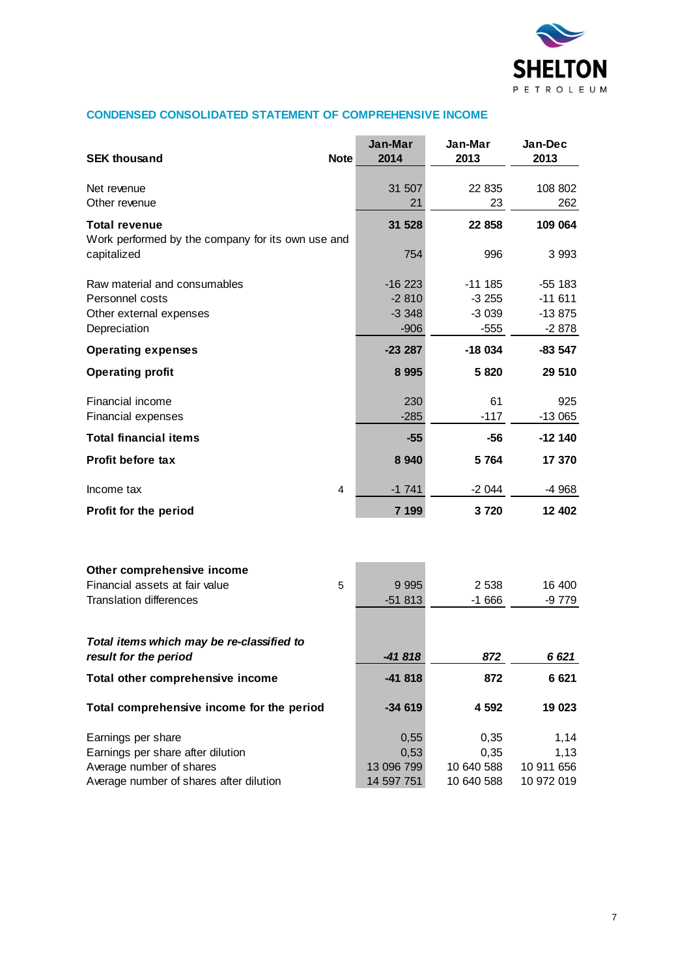

## **CONDENSED CONSOLIDATED STATEMENT OF COMPREHENSIVE INCOME**

| <b>SEK thousand</b>                                                | <b>Note</b> | Jan-Mar<br>2014 | Jan-Mar<br>2013 | Jan-Dec<br>2013 |
|--------------------------------------------------------------------|-------------|-----------------|-----------------|-----------------|
|                                                                    |             |                 |                 |                 |
| Net revenue<br>Other revenue                                       |             | 31 507<br>21    | 22 835<br>23    | 108 802<br>262  |
|                                                                    |             |                 |                 |                 |
| <b>Total revenue</b>                                               |             | 31 528          | 22 858          | 109 064         |
| Work performed by the company for its own use and<br>capitalized   |             | 754             | 996             | 3 9 9 3         |
| Raw material and consumables                                       |             | $-16223$        | $-111185$       | -55 183         |
| Personnel costs                                                    |             | $-2810$         | $-3255$         | $-11611$        |
| Other external expenses                                            |             | $-3348$         | $-3039$         | $-13875$        |
| Depreciation                                                       |             | $-906$          | $-555$          | $-2878$         |
| <b>Operating expenses</b>                                          |             | $-23287$        | $-18034$        | $-83547$        |
| <b>Operating profit</b>                                            |             | 8 9 9 5         | 5820            | 29 510          |
| Financial income                                                   |             | 230             | 61              | 925             |
| Financial expenses                                                 |             | $-285$          | $-117$          | $-13065$        |
| <b>Total financial items</b>                                       |             | $-55$           | -56             | $-12140$        |
| <b>Profit before tax</b>                                           |             | 8 9 4 0         | 5 7 64          | 17 370          |
| Income tax                                                         | 4           | $-1741$         | $-2044$         | -4 968          |
| Profit for the period                                              |             | 7 199           | 3720            | 12 402          |
|                                                                    |             |                 |                 |                 |
| Other comprehensive income<br>Financial assets at fair value       | 5           | 9 9 9 5         | 2 5 3 8         | 16 400          |
| <b>Translation differences</b>                                     |             | $-51813$        | $-1666$         | -9 779          |
|                                                                    |             |                 |                 |                 |
| Total items which may be re-classified to<br>result for the period |             | -41818          | 872             | 6 6 21          |
| Total other comprehensive income                                   |             | $-41818$        | 872             | 6 6 21          |
| Total comprehensive income for the period                          |             | $-34619$        | 4 5 9 2         | 19 023          |
| Earnings per share                                                 |             | 0,55            | 0,35            | 1,14            |
| Earnings per share after dilution                                  |             | 0,53            | 0,35            | 1,13            |
| Average number of shares                                           |             | 13 096 799      | 10 640 588      | 10 911 656      |
| Average number of shares after dilution                            |             | 14 597 751      | 10 640 588      | 10 972 019      |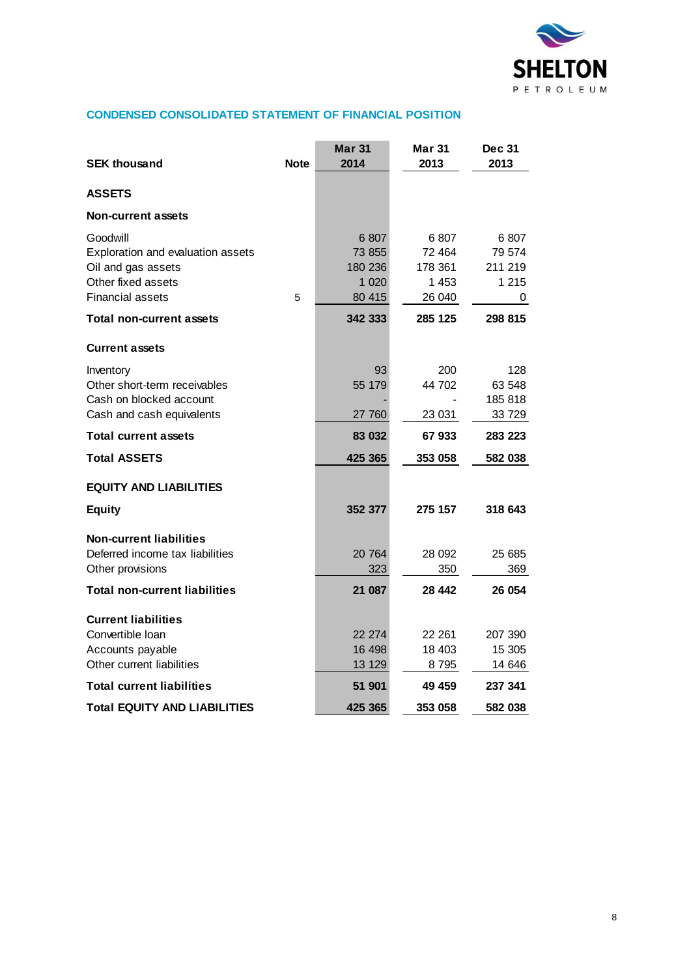

## **CONDENSED CONSOLIDATED STATEMENT OF FINANCIAL POSITION**

| <b>SEK thousand</b>                                                                                                  | <b>Note</b> | <b>Mar 31</b><br>2014                          | Mar 31<br>2013                              | <b>Dec 31</b><br>2013                     |
|----------------------------------------------------------------------------------------------------------------------|-------------|------------------------------------------------|---------------------------------------------|-------------------------------------------|
| <b>ASSETS</b>                                                                                                        |             |                                                |                                             |                                           |
| <b>Non-current assets</b>                                                                                            |             |                                                |                                             |                                           |
| Goodwill<br>Exploration and evaluation assets<br>Oil and gas assets<br>Other fixed assets<br><b>Financial assets</b> | 5           | 6807<br>73 855<br>180 236<br>1 0 2 0<br>80 415 | 6807<br>72 464<br>178 361<br>1453<br>26 040 | 6807<br>79 574<br>211 219<br>1 2 1 5<br>0 |
| <b>Total non-current assets</b>                                                                                      |             | 342 333                                        | 285 125                                     | 298 815                                   |
| <b>Current assets</b>                                                                                                |             |                                                |                                             |                                           |
| Inventory<br>Other short-term receivables<br>Cash on blocked account<br>Cash and cash equivalents                    |             | 93<br>55 179<br>27 760                         | 200<br>44 702<br>23 031                     | 128<br>63 548<br>185 818<br>33 7 29       |
| <b>Total current assets</b>                                                                                          |             | 83 032                                         | 67933                                       | 283 223                                   |
| <b>Total ASSETS</b>                                                                                                  |             | 425 365                                        | 353 058                                     | 582 038                                   |
| <b>EQUITY AND LIABILITIES</b>                                                                                        |             |                                                |                                             |                                           |
| <b>Equity</b>                                                                                                        |             | 352 377                                        | 275 157                                     | 318 643                                   |
| <b>Non-current liabilities</b><br>Deferred income tax liabilities<br>Other provisions                                |             | 20 764<br>323                                  | 28 092<br>350                               | 25 685<br>369                             |
| <b>Total non-current liabilities</b>                                                                                 |             | 21 087                                         | 28 442                                      | 26 054                                    |
| <b>Current liabilities</b><br>Convertible Ioan<br>Accounts payable<br>Other current liabilities                      |             | 22 274<br>16 498<br>13 129                     | 22 261<br>18 403<br>8795                    | 207 390<br>15 305<br>14 646               |
| <b>Total current liabilities</b>                                                                                     |             | 51 901                                         | 49 459                                      | 237 341                                   |
| <b>Total EQUITY AND LIABILITIES</b>                                                                                  |             | 425 365                                        | 353 058                                     | 582 038                                   |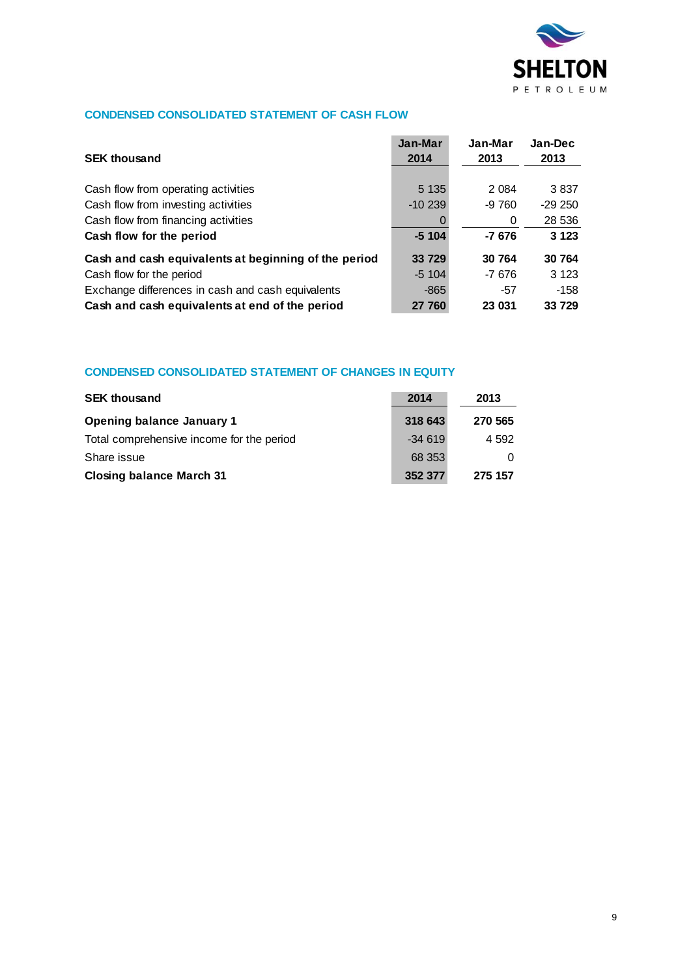

## **CONDENSED CONSOLIDATED STATEMENT OF CASH FLOW**

| <b>SEK thousand</b>                                  | Jan-Mar<br>2014 | Jan-Mar<br>2013 | Jan-Dec<br>2013 |
|------------------------------------------------------|-----------------|-----------------|-----------------|
|                                                      |                 |                 |                 |
| Cash flow from operating activities                  | 5 1 3 5         | 2 0 8 4         | 3837            |
| Cash flow from investing activities                  | $-10239$        | $-9760$         | $-29250$        |
| Cash flow from financing activities                  |                 | 0               | 28 536          |
| Cash flow for the period                             | $-5104$         | $-7676$         | 3 1 2 3         |
| Cash and cash equivalents at beginning of the period | 33 729          | 30 764          | 30 764          |
| Cash flow for the period                             | $-5, 104$       | $-7676$         | 3 1 2 3         |
| Exchange differences in cash and cash equivalents    | $-865$          | -57             | $-158$          |
| Cash and cash equivalents at end of the period       | 27 760          | 23 031          | 33 729          |

## **CONDENSED CONSOLIDATED STATEMENT OF CHANGES IN EQUITY**

| <b>SEK thousand</b>                       | 2014     | 2013    |
|-------------------------------------------|----------|---------|
| <b>Opening balance January 1</b>          | 318 643  | 270 565 |
| Total comprehensive income for the period | $-34619$ | 4 5 9 2 |
| Share issue                               | 68 353   |         |
| <b>Closing balance March 31</b>           | 352 377  | 275 157 |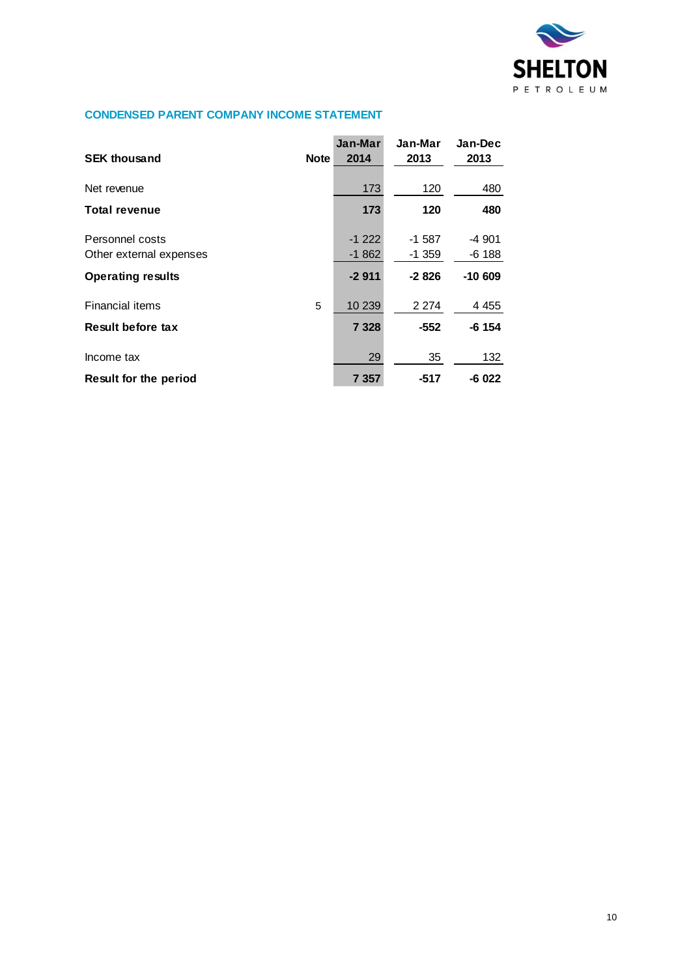

## **CONDENSED PARENT COMPANY INCOME STATEMENT**

| <b>SEK thousand</b>                        | <b>Note</b> | Jan-Mar<br>2014    | Jan-Mar<br>2013     | Jan-Dec<br>2013   |
|--------------------------------------------|-------------|--------------------|---------------------|-------------------|
| Net revenue                                |             | 173                | 120                 | 480               |
| <b>Total revenue</b>                       |             | 173                | 120                 | 480               |
| Personnel costs<br>Other external expenses |             | $-1222$<br>$-1862$ | $-1587$<br>$-1.359$ | -4 901<br>$-6188$ |
| <b>Operating results</b>                   |             | $-2911$            | $-2826$             | $-10609$          |
| <b>Financial items</b>                     | 5           | 10 239             | 2 2 7 4             | 4 4 5 5           |
| Result before tax                          |             | 7 3 2 8            | $-552$              | $-6$ 154          |
| Income tax                                 |             | 29                 | 35                  | 132               |
| <b>Result for the period</b>               |             | 7 357              | -517                | $-6022$           |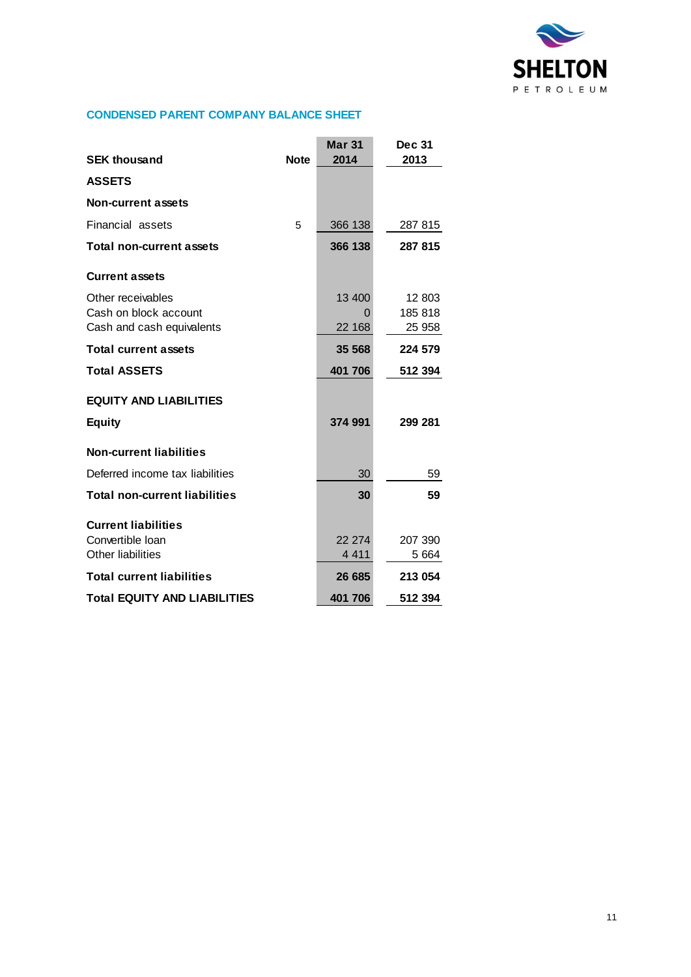

## **CONDENSED PARENT COMPANY BALANCE SHEET**

|                                      |             | <b>Mar 31</b> | <b>Dec 31</b> |
|--------------------------------------|-------------|---------------|---------------|
| <b>SEK thousand</b>                  | <b>Note</b> | 2014          | 2013          |
| <b>ASSETS</b>                        |             |               |               |
| <b>Non-current assets</b>            |             |               |               |
| Financial assets                     | 5           | 366 138       | 287 815       |
| <b>Total non-current assets</b>      |             | 366 138       | 287 815       |
| <b>Current assets</b>                |             |               |               |
| Other receivables                    |             | 13 400        | 12 803        |
| Cash on block account                |             | 0             | 185 818       |
| Cash and cash equivalents            |             | 22 168        | 25 958        |
| <b>Total current assets</b>          |             | 35 568        | 224 579       |
| <b>Total ASSETS</b>                  |             | 401 706       | 512 394       |
| <b>EQUITY AND LIABILITIES</b>        |             |               |               |
| <b>Equity</b>                        |             | 374 991       | 299 281       |
| <b>Non-current liabilities</b>       |             |               |               |
| Deferred income tax liabilities      |             | 30            | 59            |
| <b>Total non-current liabilities</b> |             | 30            | 59            |
| <b>Current liabilities</b>           |             |               |               |
| Convertible Ioan                     |             | 22 274        | 207 390       |
| Other liabilities                    |             | 4 4 1 1       | 5 6 64        |
| <b>Total current liabilities</b>     |             | 26 685        | 213 054       |
| <b>Total EQUITY AND LIABILITIES</b>  |             | 401 706       | 512 394       |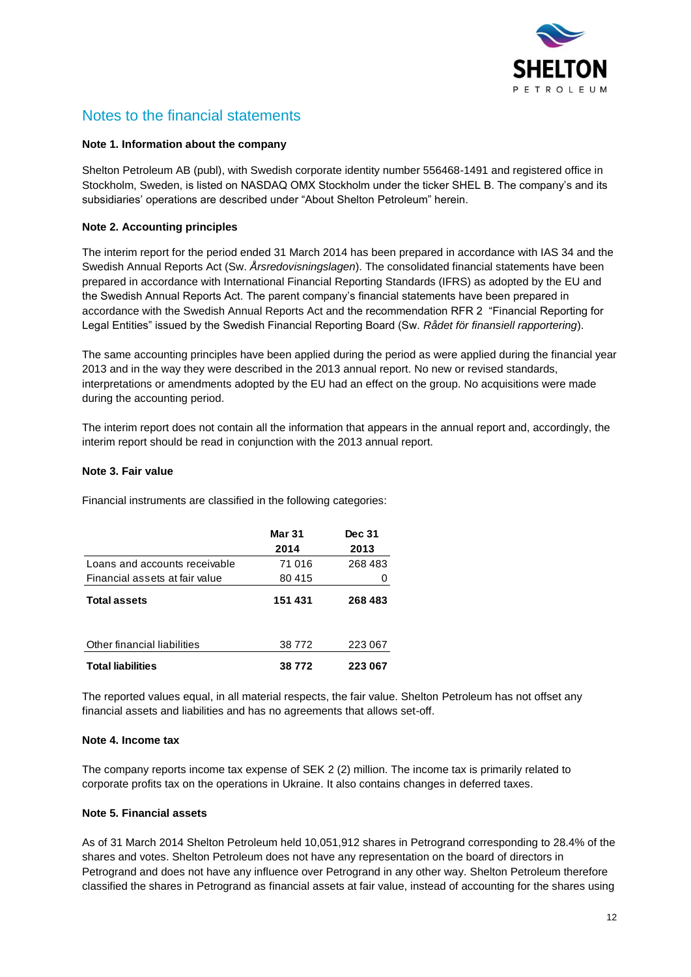

# Notes to the financial statements

#### **Note 1. Information about the company**

Shelton Petroleum AB (publ), with Swedish corporate identity number 556468-1491 and registered office in Stockholm, Sweden, is listed on NASDAQ OMX Stockholm under the ticker SHEL B. The company's and its subsidiaries' operations are described under "About Shelton Petroleum" herein.

### **Note 2. Accounting principles**

The interim report for the period ended 31 March 2014 has been prepared in accordance with IAS 34 and the Swedish Annual Reports Act (Sw. *Årsredovisningslagen*). The consolidated financial statements have been prepared in accordance with International Financial Reporting Standards (IFRS) as adopted by the EU and the Swedish Annual Reports Act. The parent company's financial statements have been prepared in accordance with the Swedish Annual Reports Act and the recommendation RFR 2 "Financial Reporting for Legal Entities" issued by the Swedish Financial Reporting Board (Sw. *Rådet för finansiell rapportering*).

The same accounting principles have been applied during the period as were applied during the financial year 2013 and in the way they were described in the 2013 annual report. No new or revised standards, interpretations or amendments adopted by the EU had an effect on the group. No acquisitions were made during the accounting period.

The interim report does not contain all the information that appears in the annual report and, accordingly, the interim report should be read in conjunction with the 2013 annual report.

### **Note 3. Fair value**

Financial instruments are classified in the following categories:

|                                | <b>Mar 31</b><br>2014 | Dec 31<br>2013 |
|--------------------------------|-----------------------|----------------|
| Loans and accounts receivable  | 71 016                | 268 483        |
| Financial assets at fair value | 80 415                |                |
| <b>Total assets</b>            | 151 431               | 268 483        |
| Other financial liabilities    | 38772                 | 223 067        |
| <b>Total liabilities</b>       | 38 772                | 223 067        |

The reported values equal, in all material respects, the fair value. Shelton Petroleum has not offset any financial assets and liabilities and has no agreements that allows set-off.

#### **Note 4. Income tax**

The company reports income tax expense of SEK 2 (2) million. The income tax is primarily related to corporate profits tax on the operations in Ukraine. It also contains changes in deferred taxes.

#### **Note 5. Financial assets**

As of 31 March 2014 Shelton Petroleum held 10,051,912 shares in Petrogrand corresponding to 28.4% of the shares and votes. Shelton Petroleum does not have any representation on the board of directors in Petrogrand and does not have any influence over Petrogrand in any other way. Shelton Petroleum therefore classified the shares in Petrogrand as financial assets at fair value, instead of accounting for the shares using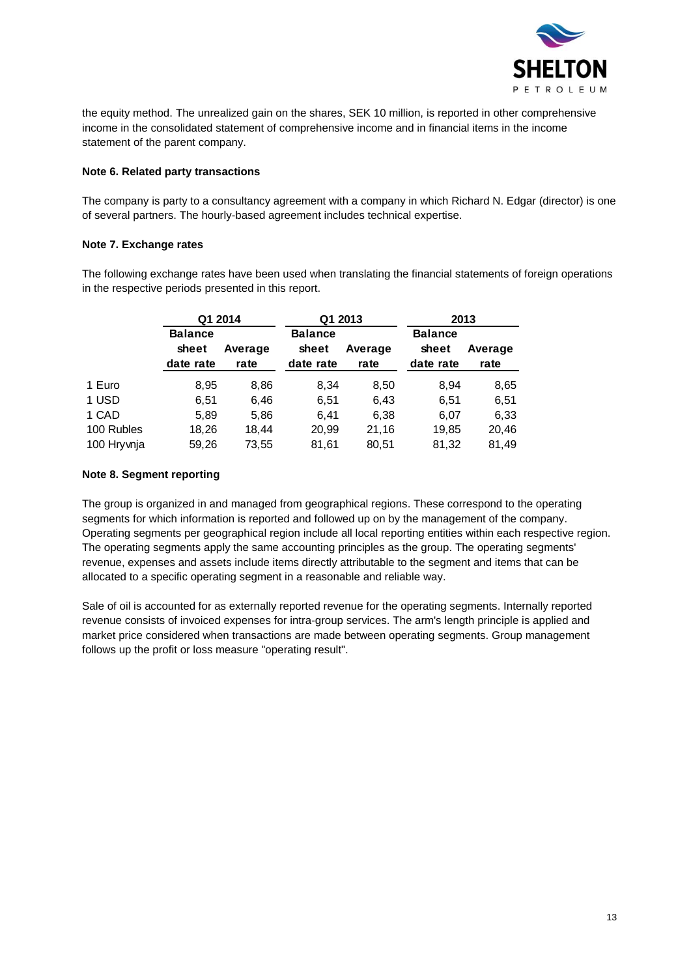

the equity method. The unrealized gain on the shares, SEK 10 million, is reported in other comprehensive income in the consolidated statement of comprehensive income and in financial items in the income statement of the parent company.

### **Note 6. Related party transactions**

The company is party to a consultancy agreement with a company in which Richard N. Edgar (director) is one of several partners. The hourly-based agreement includes technical expertise.

### **Note 7. Exchange rates**

The following exchange rates have been used when translating the financial statements of foreign operations in the respective periods presented in this report.

|            | Q1 2014                              |                 | Q1 2013                              |                 |                                      | 2013            |
|------------|--------------------------------------|-----------------|--------------------------------------|-----------------|--------------------------------------|-----------------|
|            | <b>Balance</b><br>sheet<br>date rate | Average<br>rate | <b>Balance</b><br>sheet<br>date rate | Average<br>rate | <b>Balance</b><br>sheet<br>date rate | Average<br>rate |
| 1 Euro     | 8,95                                 | 8,86            | 8,34                                 | 8,50            | 8,94                                 | 8,65            |
| 1 USD      | 6,51                                 | 6,46            | 6,51                                 | 6,43            | 6,51                                 | 6,51            |
| 1 CAD      | 5,89                                 | 5,86            | 6,41                                 | 6,38            | 6,07                                 | 6,33            |
| 100 Rubles | 18,26                                | 18,44           | 20,99                                | 21,16           | 19,85                                | 20,46           |
| 100 Hrywia | 59,26                                | 73,55           | 81,61                                | 80,51           | 81,32                                | 81,49           |

### **Note 8. Segment reporting**

The group is organized in and managed from geographical regions. These correspond to the operating segments for which information is reported and followed up on by the management of the company. Operating segments per geographical region include all local reporting entities within each respective region. The operating segments apply the same accounting principles as the group. The operating segments' revenue, expenses and assets include items directly attributable to the segment and items that can be allocated to a specific operating segment in a reasonable and reliable way.

Sale of oil is accounted for as externally reported revenue for the operating segments. Internally reported revenue consists of invoiced expenses for intra-group services. The arm's length principle is applied and market price considered when transactions are made between operating segments. Group management follows up the profit or loss measure "operating result".